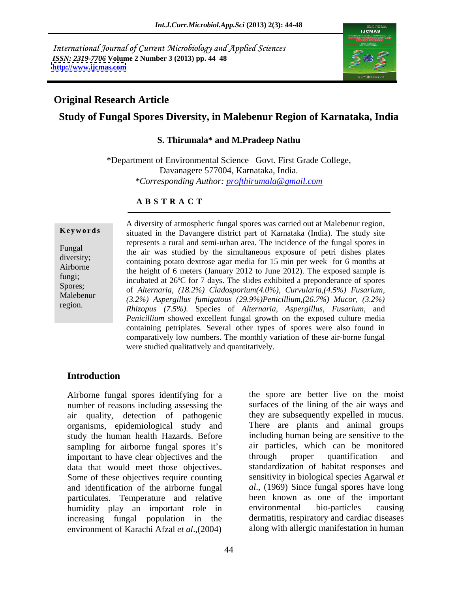International Journal of Current Microbiology and Applied Sciences *ISSN: 2319-7706* **Volume 2 Number 3 (2013) pp. 44 48 <http://www.ijcmas.com>**



## **Original Research Article**

## **Study of Fungal Spores Diversity, in Malebenur Region of Karnataka, India**

#### **S. Thirumala\* and M.Pradeep Nathu**

\*Department of Environmental Science Govt. First Grade College, Davanagere 577004, Karnataka, India. *\*Corresponding Author: profthirumala@gmail.com*

#### **A B S T R A C T**

**Keywords** situated in the Davangere district part of Karnataka (India). The study site Fungal<br>the air was studied by the simultaneous exposure of petri dishes plates diversity;<br>
containing potato dextrose agar media for 15 min per week for 6 months at Airborne<br>the height of 6 meters (January 2012 to June 2012). The exposed sample is fungi;<br>incubated at 26<sup>o</sup>C for 7 days. The slides exhibited a preponderance of spores Spores;<br>
of *Alternaria,* (18.2%) *Cladosporium*(4.0%), *Curvularia,*(4.5%) *Fusarium*, Malebenur *(3.2%) Aspergillus fumigatous (29.9%)Penicillium,(26.7%) Mucor, (3.2%)* **Example 19** A diversity of atmospheric fungal spores was carried out at Malebenur region,<br>
situated in the Davangere district part of Karnataka (India). The study site<br>
represents a rural and semi-urban area. The inciden represents a rural and semi-urban area. The incidence of the fungal spores in *Rhizopus (7.5%).* Species of *Alternaria, Aspergillus, Fusarium,* and *Penicillium* showed excellent fungal growth on the exposed culture media containing petriplates. Several other types of spores were also found in comparatively low numbers. The monthly variation of these air-borne fungal were studied qualitatively and quantitatively.

#### **Introduction**

Airborne fungal spores identifying for a number of reasons including assessing the air quality, detection of pathogenic organisms, epidemiological study and study the human health Hazards. Before including human being are sensitive to the sampling for airborne fungal spores it's important to have clear objectives and the through proper quantification and data that would meet those objectives. Some of these objectives require counting and identification of the airborne fungal *al*., (1969) Since fungal spores have long particulates. Temperature and relative humidity play an important role in environmental bio-particles causing increasing fungal population in the environment of Karachi Afzal *et al*.,(2004)

the spore are better live on the moist surfaces of the lining of the air ways and they are subsequently expelled in mucus. There are plants and animal groups air particles, which can be monitored through proper quantification and standardization of habitat responses and sensitivity in biological species Agarwal *et*  been known as one of the important environmental bio-particles causing dermatitis, respiratory and cardiac diseases along with allergic manifestation in human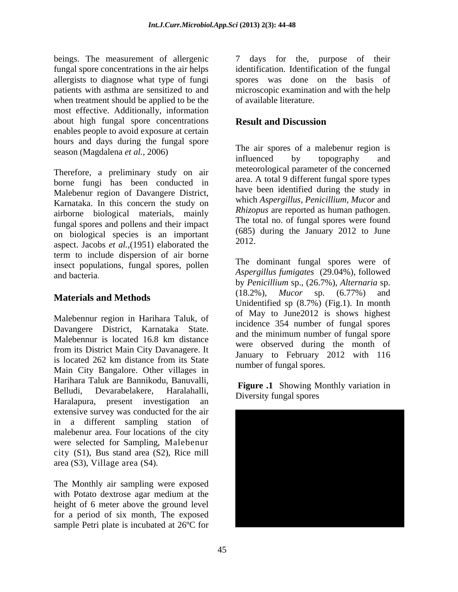beings. The measurement of allergenic  $\overline{7}$ fungal spore concentrations in the air helps identification. Identification of the fungal allergists to diagnose what type of fungi spores was done on the basis of patients with asthma are sensitized to and microscopic examination and with the help when treatment should be applied to be the most effective. Additionally, information about high fungal spore concentrations **Result and Discussion** enables people to avoid exposure at certain hours and days during the fungal spore

Therefore, a preliminary study on air borne fungi has been conducted in Malebenur region of Davangere District, Karnataka. In this concern the study on airborne biological materials, mainly fungal spores and pollens and their impact on biological species is an important  $(685)$ <br>same that  $(1051)$  although the  $(2012)$ . aspect. Jacobs *et al.,*(1951) elaborated the term to include dispersion of air borne insect populations, fungal spores, pollen and bacteria. *Aspergillus fumigates* (29.04%), followed

Malebennur region in Harihara Taluk, of from its District Main City Davanagere. It Main City Bangalore. Other villages in Harihara Taluk are Bannikodu, Banuvalli, Belludi, Devarabelakere, Haralahalli, Diversity fungel energy variation in Haralapura, present investigation an extensive survey was conducted for the air in a different sampling station of malebenur area. Four locations of the city were selected for Sampling, Malebenur city (S1), Bus stand area (S2), Rice mill

with Potato dextrose agar medium at the height of 6 meter above the ground level for a period of six month, The exposed sample Petri plate is incubated at 26ºC for

days for the, purpose of their of available literature.

## **Result and Discussion**

season (Magdalena *et al.*, 2006)<br>influenced by topography and The air spores of a malebenur region is influenced by topography and meteorological parameter of the concerned area. A total 9 different fungal spore types have been identified during the study in which *Aspergillus, Penicillium, Mucor* and *Rhizopus* are reported as human pathogen. The total no. of fungal spores were found (685) during the January 2012 to June 2012.

**Materials and Methods** (16.2%), *Mator* sp. (0.77%) and **Methods** Unidentified sp (8.7%) (Fig.1). In month Davangere District, Karnataka State.<br>Malebennur is located 16.8 km distance were observed during the month of is located 262 km distance from its State  $\frac{3 \text{ and } \text{ and } \text{ } \text{ or } \text{ } \text{ (b) 1 (c) 1 (d) 2 (e) 2 (f) 2 (g) 3 (g) 4 (h) 5 (h) 6 (i) 2 (j) 2 (k)}$ The dominant fungal spores were of by *Penicillium* sp., (26.7%), *Alternaria* sp. (18.2%), *Mucor* sp. (6.77%) and of May to June2012 is shows highest incidence 354 number of fungal spores and the minimum number of fungal spore were observed during the month of January to February 2012 with 116 number of fungal spores.

> **Figure .1** Showing Monthly variation in Diversity fungal spores

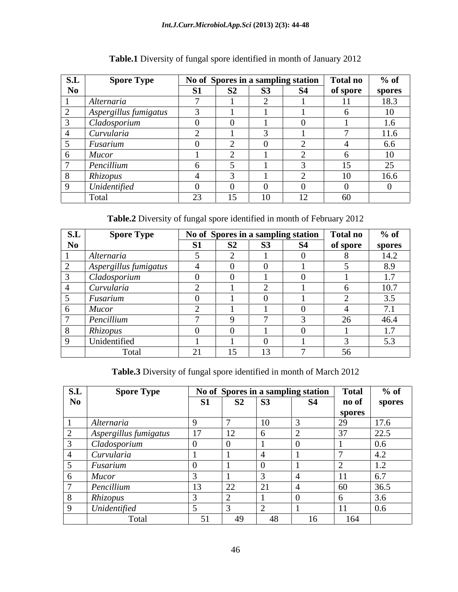| S.L | <b>Spore Type</b>     |                |                          |                                 | No of Spores in a sampling station | <b>Total no</b> | $%$ of         |
|-----|-----------------------|----------------|--------------------------|---------------------------------|------------------------------------|-----------------|----------------|
| No  |                       | $\mathbf{C}$ 1 | C2<br>IJΑ                | $\mathbf{a}$<br>53 <sub>2</sub> | <b>S4</b>                          | of spore        | spores         |
|     | Alternaria            |                |                          |                                 |                                    |                 | 18.3           |
|     | Aspergillus fumigatus |                |                          |                                 |                                    |                 | 1 <sub>0</sub> |
|     | Cladosporium          |                |                          |                                 |                                    |                 | 1.6            |
|     | Curvularia            |                |                          | $\sim$                          |                                    |                 | 11.6           |
|     | Fusarium              |                |                          |                                 |                                    |                 | 6.6            |
|     | Mucor                 |                |                          |                                 |                                    |                 | 1 <sub>0</sub> |
|     | Pencillium            |                |                          |                                 |                                    |                 | $\Omega$<br>ن⊾ |
|     | Rhizopus              |                |                          |                                 |                                    |                 | 16.6           |
|     | Unidentified          |                |                          |                                 |                                    |                 |                |
|     | Total                 | $\cap$<br>نك   | $\sim$<br>$\overline{1}$ |                                 | ┖ <del></del>                      | 60              |                |

# **Table.1** Diversity of fungal spore identified in month of January 2012

**Table.2** Diversity of fungal spore identified in month of February 2012

| S.L            | <b>Spore Type</b>     |                                         |    | No of Spores in a sampling station | <b>Total no</b> | $%$ of                  |
|----------------|-----------------------|-----------------------------------------|----|------------------------------------|-----------------|-------------------------|
| N <sub>0</sub> |                       | <b>S1</b>                               | S2 | <b>S4</b>                          | of spore        | spores                  |
|                | Alternaria            |                                         |    |                                    |                 | 14.2                    |
|                | Aspergillus fumigatus |                                         |    |                                    |                 | 8.9                     |
|                | Cladosporium          |                                         |    |                                    |                 | $\sim$ $\sim$<br>.      |
|                | Curvularia            |                                         |    |                                    |                 | $\overline{10}$<br>10.7 |
|                | Fusarium              |                                         |    |                                    |                 | 25<br>J.J               |
|                | <b>Mucor</b>          |                                         |    |                                    |                 | $\sqrt{2}$ 1            |
|                | Pencillium            |                                         |    |                                    | $\sim$          | 46.4                    |
|                | Rhizopus              |                                         |    |                                    |                 | .<br>$\blacksquare$ .   |
|                | Unidentified          |                                         |    |                                    |                 | ູບ ເປ                   |
|                | Total                 | $\bigcap$ 1<br>$\overline{\phantom{a}}$ |    |                                    | 56              |                         |

**Table.3** Diversity of fungal spore identified in month of March 2012

| S.L            | <b>Spore Type</b>     |                |                                    |                          | No of Spores in a sampling station | <b>Total</b>                       | $%$ of                                  |
|----------------|-----------------------|----------------|------------------------------------|--------------------------|------------------------------------|------------------------------------|-----------------------------------------|
| N <sub>0</sub> |                       | <b>S1</b>      | S <sub>2</sub>                     | <b>S3</b>                | $S^2$                              | no of                              | spores                                  |
|                |                       |                |                                    |                          |                                    | spores<br>$\overline{\phantom{a}}$ |                                         |
|                | Alternaria            |                |                                    | 10                       |                                    | $\sim$                             | 17.6                                    |
|                | Aspergillus fumigatus | $\sim$         | $\sim$<br>$\perp$                  |                          |                                    | $\sim$                             | 22.5                                    |
|                | Cladosporium          |                |                                    |                          |                                    |                                    | $\sim$ $\sim$<br>0.0 <sub>1</sub>       |
|                | Curvularia            |                |                                    |                          |                                    |                                    | $\sim$<br>4.2                           |
|                | Fusarium              |                |                                    |                          |                                    |                                    | $\sim$<br>$\mathbf{1} \cdot \mathbf{2}$ |
|                | <b>Mucor</b>          |                |                                    |                          |                                    |                                    | $\sim$ $\sim$<br>v. /                   |
|                | Pencillium            | $\sim$<br>ΙJ   | $\sim$<br>$\overline{\phantom{a}}$ | $\mathbf{C}$<br>$\sim$ 1 |                                    | 60                                 | 36.5                                    |
|                | Rhizopus              |                |                                    |                          |                                    |                                    | 3.6                                     |
|                | Unidentified          |                |                                    |                          |                                    |                                    | $\Omega$<br>0.6                         |
|                | Total                 | $\mathbf{r}$ 1 | 49                                 | 48                       | $\sim$                             | 164                                |                                         |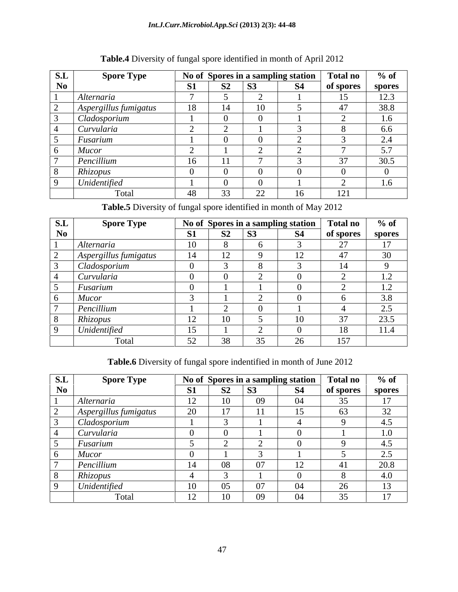#### *Int.J.Curr.Microbiol.App.Sci* **(2013) 2(3): 44-48**

| S.L            | <b>Spore Type</b>     |                    |                |                | No of Spores in a sampling station | <b>Total no</b> | $%$ of                            |
|----------------|-----------------------|--------------------|----------------|----------------|------------------------------------|-----------------|-----------------------------------|
| N <sub>0</sub> |                       | C1<br>$\mathbf{D}$ | S <sub>2</sub> | <b>S3</b>      | $S_4$                              | of spores       | spores                            |
|                | Alternaria            |                    |                |                |                                    |                 | 12.3                              |
|                | Aspergillus fumigatus | 18                 | $\overline{a}$ | 1 <sub>0</sub> |                                    |                 | 38.8                              |
|                | Cladosporium          |                    |                |                |                                    |                 | $\sim$<br>. .6                    |
|                | Curvularia            |                    |                |                |                                    |                 | 6.6                               |
|                | Fusarium              |                    |                |                |                                    |                 | $\sim$ $\lambda$<br>$\sim$ $\sim$ |
|                | <b>Mucor</b>          | $\sim$             |                |                |                                    |                 | $\sim$ $\sim$<br>$J \cdot I$      |
|                | Pencillium            | $\sim$             | $\sim$ $\sim$  |                |                                    | $\sim$          | 30.5                              |
|                | Rhizopus              |                    |                |                |                                    |                 |                                   |
|                | Unidentified          |                    |                |                |                                    |                 | .6                                |
|                | Total                 | 48                 | $\Omega$       | 22             |                                    | 121             |                                   |

## **Table.4** Diversity of fungal spore identified in month of April 2012

**Table.5** Diversity of fungal spore identified in month of May 2012

| S.L            | <b>Spore Type</b>     |                                |                |           | No of Spores in a sampling station | <b>Total no</b> | $%$ of                               |
|----------------|-----------------------|--------------------------------|----------------|-----------|------------------------------------|-----------------|--------------------------------------|
| N <sub>0</sub> |                       | C <sub>1</sub><br>$\mathbf{L}$ | S <sub>2</sub> | <b>S3</b> | S4                                 | of spores       | spores                               |
|                | Alternaria            | 1 <sub>0</sub>                 |                |           |                                    | $\sim$ $\sim$   | 1 <sub>7</sub>                       |
|                | Aspergillus fumigatus | 14                             | $\sim$         |           |                                    |                 | 30                                   |
|                | Cladosporium          |                                |                |           |                                    |                 |                                      |
|                | Curvularia            |                                |                |           |                                    |                 | $\cdot$ $\sim$                       |
|                | Fusarium              |                                |                |           |                                    |                 | .<br>$\overline{1}$ . $\overline{2}$ |
|                | <b>Mucor</b>          |                                |                |           |                                    |                 | 3.8                                  |
|                | Pencillium            |                                |                |           |                                    |                 | $\cap$ $\subset$<br>ل و ک            |
|                | Rhizopus              | $\sim$<br>┸ <del></del>        | 1 <sub>0</sub> |           |                                    | $\sim$          | 23.5                                 |
|                | Unidentified          | 15<br>ື້                       |                |           |                                    | 18              | 11.4                                 |
|                | Total                 | $\epsilon$                     | 38             | 35        | $\sim$                             | 157             |                                      |

**Table.6** Diversity of fungal spore indentified in month of June 2012

| S.L            | <b>Spore Type</b>            |                          |                     |           | No of Spores in a sampling station | <b>Total no</b>          | $%$ of                               |
|----------------|------------------------------|--------------------------|---------------------|-----------|------------------------------------|--------------------------|--------------------------------------|
| N <sub>0</sub> |                              | <b>S1</b>                | 52 <sub>1</sub>     | <b>S3</b> | $\mathbf{C}$                       | of spores                | spores                               |
|                | Alternaria                   | $\sim$<br>$\overline{ }$ | 10                  | 09        | 04                                 |                          | 1 <sub>7</sub>                       |
|                | <i>Aspergillus fumigatus</i> | $\Omega$                 | 1 <sub>7</sub>      | 11        |                                    |                          | $\Omega$<br>ے ر                      |
|                | Cladosporium                 |                          |                     |           |                                    |                          | $\overline{\phantom{a}}$<br>4.3      |
|                | Curvularia                   |                          |                     |           |                                    |                          | 1.0                                  |
|                | Fusarium                     |                          |                     |           |                                    |                          | $\sim$<br>4.3                        |
|                | <b>Mucor</b>                 |                          |                     |           |                                    |                          | $\cap$ $\subset$<br>$\mathcal{L}$ .J |
|                | Pencillium                   | $-4$                     | $\sim$<br><u>vo</u> | $\Omega$  | $\overline{\phantom{a}}$           |                          | 20.8                                 |
|                | Rhizopus                     |                          |                     |           |                                    |                          | 4.0                                  |
|                | Unidentified                 | 1 <sub>0</sub>           | $\sim$ $\sim$<br>UJ | $\Omega$  | 04                                 | $\overline{\phantom{a}}$ | 13                                   |
|                | Tota                         | $1^{\circ}$              | 10                  | 09        | U4.                                |                          | 1 <sub>7</sub>                       |